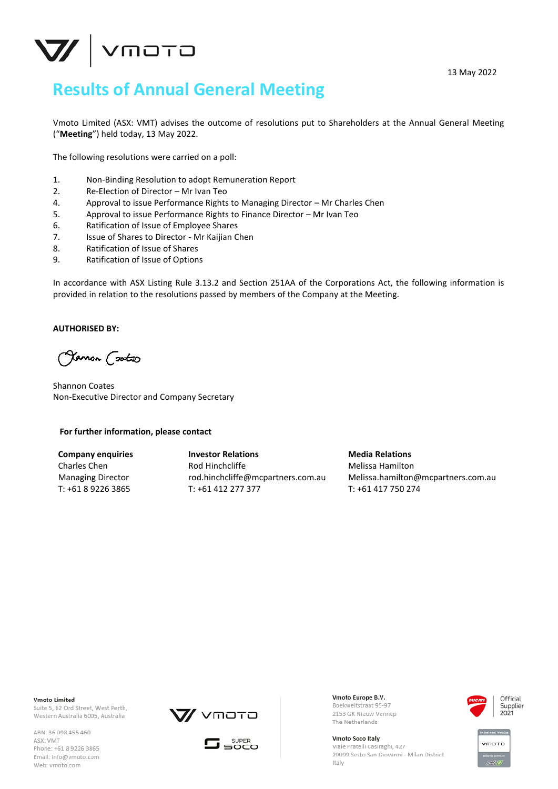

13 May 2022

## **Results of Annual General Meeting**

Vmoto Limited (ASX: VMT) advises the outcome of resolutions put to Shareholders at the Annual General Meeting ("**Meeting**") held today, 13 May 2022.

The following resolutions were carried on a poll:

- 1. Non-Binding Resolution to adopt Remuneration Report
- 2. Re-Election of Director Mr Ivan Teo
- 4. Approval to issue Performance Rights to Managing Director Mr Charles Chen
- 5. Approval to issue Performance Rights to Finance Director Mr Ivan Teo
- 6. Ratification of Issue of Employee Shares
- 7. Issue of Shares to Director Mr Kaijian Chen
- 8. Ratification of Issue of Shares
- 9. Ratification of Issue of Options

In accordance with ASX Listing Rule 3.13.2 and Section 251AA of the Corporations Act, the following information is provided in relation to the resolutions passed by members of the Company at the Meeting.

## **AUTHORISED BY:**

Olamon Cookso

Shannon Coates Non-Executive Director and Company Secretary

## **For further information, please contact**

**Company enquiries** Charles Chen Managing Director T: +61 8 9226 3865

**Investor Relations** Rod Hinchcliffe rod.hinchcliffe@mcpartners.com.au T: +61 412 277 377

**Media Relations** Melissa Hamilton Melissa.hamilton@mcpartners.com.au T: +61 417 750 274

**Vmoto Limited** Suite 5, 62 Ord Street, West Perth, Western Australia 6005, Australia

ABN: 36 098 455 460 ASX: VMT Phone: +61 8 9226 3865 Email: info@vmoto.com Web: vmoto.com





Vmoto Europe B.V. Boekweitstraat 95-97 2153 GK Nieuw Vennep The Netherlands

Vmoto Soco Italy Viale Fratelli Casiraghi, 427 20099 Sesto San Giovanni - Milan District Italy